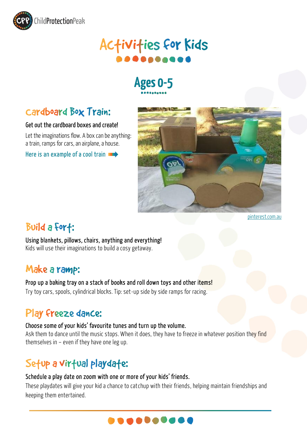

# **Activities for Kids**

## **Ages 0-5**

### cardboard Box Train:

#### Get out the cardboard boxes and create!

Let the imaginations flow. A box can be anything: a train, ramps for cars, an airplane, a house.

Here is an example of a cool train



[pinterest.com.au](https://www.pinterest.com.au/pin/402861129161600064/)

### Build a fort:

Using blankets, pillows, chairs, anything and everything! Kids will use their imaginations to build a cosy getaway.

### Make a ramp:

#### Prop up a baking tray on a stack of books and roll down toys and other items!

Try toy cars, spools, cylindrical blocks. Tip: set-up side by side ramps for racing.

### Play freeze dance:

#### Choose some of your kids' favourite tunes and turn up the volume.

Ask them to dance until the music stops. When it does, they have to freeze in whatever position they find themselves in – even if they have one leg up.

### Setup a virtual playdate:

#### Schedule a play date on zoom with one or more of your kids' friends.

These playdates will give your kid a chance to catchup with their friends, helping maintain friendships and keeping them entertained.

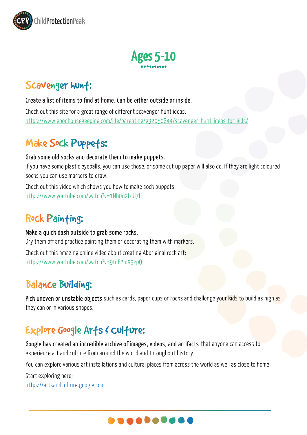



### Scavenger hunt:

#### Create a list of items to find at home. Can be either outside or inside.

Check out this site for a great range of different scavenger hunt ideas: <https://www.goodhousekeeping.com/life/parenting/g32050844/scavenger-hunt-ideas-for-kids/>

### Make Sock Puppets:

#### Grab some old socks and decorate them to make puppets.

If you have some plastic eyeballs, you can use those, or some cut up paper will also do. If they are light coloured socks you can use markers to draw.

Check out this video which shows you how to make sock puppets: <https://www.youtube.com/watch?v=1Nh0n2LcU7I>

### Rock Painting:

#### Make a quick dash outside to grab some rocks.

Dry them off and practice painting them or decorating them with markers. Check out this amazing online video about creating Aboriginal rock art: <https://www.youtube.com/watch?v=9tnE2mX9zpQ>

### **Balance Building:**

Pick uneven or unstable objects such as cards, paper cups or rocks and challenge your kids to build as high as they can or in various shapes.

### Explore Google Arts & Culture:

Google has created an [incredible archive of images, videos, and artifacts](https://artsandculture.google.com/) that anyone can access to experience art and culture from around the world and throughout history.

You can explore various art installations and cultural places from across the world as well as close to home.

Start exploring here:

[https://artsandculture.google.com](https://artsandculture.google.com/)

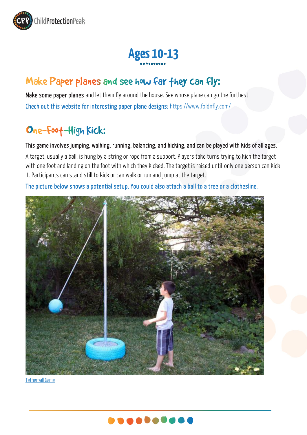

# **Ages 10-13**

### Make Paper planes and see how far they can fly:

Make some paper planes and let them fly around the house. See whose plane can go the furthest. Check out this website for interesting paper plane designs: <https://www.foldnfly.com/>

### One-Foot-High Kick:

This game involves jumping, walking, running, balancing, and kicking, and can be played with kids of all ages.

A target, usually a ball, is hung by a string or rope from a support. Players take turns trying to kick the target with one foot and landing on the foot with which they kicked. The target is raised until only one person can kick it. Participants can stand still to kick or can walk or run and jump at the target.

The picture below shows a potential setup. You could also attach a ball to a tree or a clothesline.



[Tetherball Game](https://www.hgtv.com/lifestyle/family/kids-and-babies/how-to-make-a-backyard-tetherball-set)